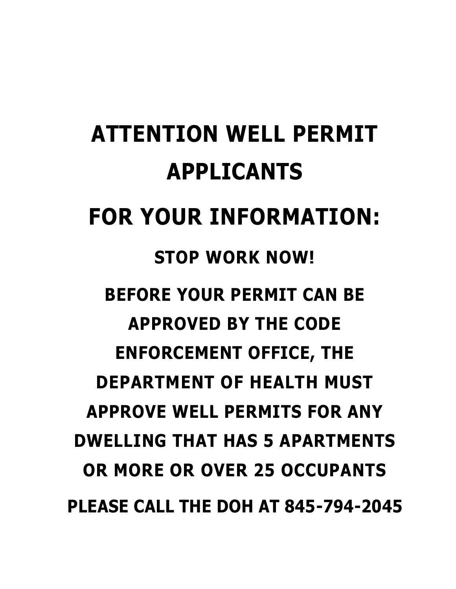# **ATTENTION WELL PERMIT APPLICANTS FOR YOUR INFORMATION: STOP WORK NOW! BEFORE YOUR PERMIT CAN BE APPROVED BY THE CODE ENFORCEMENT OFFICE, THE DEPARTMENT OF HEALTH MUST APPROVE WELL PERMITS FOR ANY DWELLING THAT HAS 5 APARTMENTS OR MORE OR OVER 25 OCCUPANTS PLEASE CALL THE DOH AT 845-794-2045**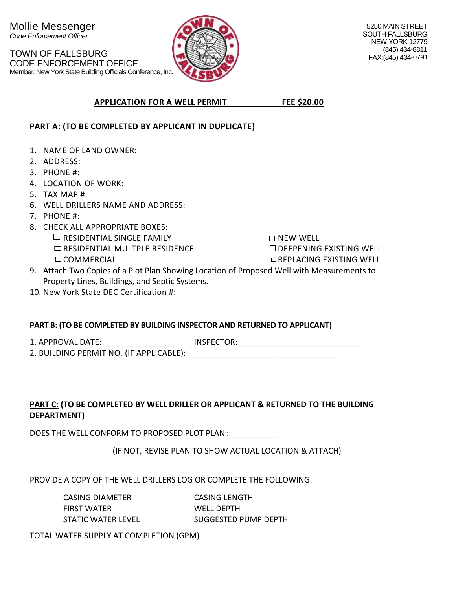

#### **APPLICATION FOR A WELL PERMIT FEE \$20.00**

#### **PART A: (TO BE COMPLETED BY APPLICANT IN DUPLICATE)**

- 1. NAME OF LAND OWNER:
- 2. ADDRESS:
- 3. PHONE #:
- 4. LOCATION OF WORK:
- 5. TAX MAP #:
- 6. WELL DRILLERS NAME AND ADDRESS:
- 7. PHONE #:
- 8. CHECK ALL APPROPRIATE BOXES:  $\Box$  RESIDENTIAL SINGLE FAMILY  $\Box$  RESIDENTIAL MULTPLE RESIDENCE **DCOMMERCIAL**

 $\Box$  NEW WELL  $\square$  DEEPENING EXISTING WELL REPLACING EXISTING WELL

- 9. Attach Two Copies of a Plot Plan Showing Location of Proposed Well with Measurements to Property Lines, Buildings, and Septic Systems.
- 10. New York State DEC Certification #:

#### **PART B: (TO BE COMPLETED BY BUILDING INSPECTOR AND RETURNED TO APPLICANT)**

1. APPROVAL DATE: \_\_\_\_\_\_\_\_\_\_\_\_\_\_\_ INSPECTOR: \_\_\_\_\_\_\_\_\_\_\_\_\_\_\_\_\_\_\_\_\_\_\_\_\_\_\_

2. BUILDING PERMIT NO. (IF APPLICABLE):\_\_\_\_\_\_\_\_\_\_\_\_\_\_\_\_\_\_\_\_\_\_\_\_\_\_\_\_\_\_\_\_\_

#### **PART C: (TO BE COMPLETED BY WELL DRILLER OR APPLICANT & RETURNED TO THE BUILDING DEPARTMENT)**

DOES THE WELL CONFORM TO PROPOSED PLOT PLAN: \_\_\_\_\_\_\_\_\_\_\_\_

(IF NOT, REVISE PLAN TO SHOW ACTUAL LOCATION & ATTACH)

PROVIDE A COPY OF THE WELL DRILLERS LOG OR COMPLETE THE FOLLOWING:

CASING DIAMETER CASING LENGTH FIRST WATER WELL DEPTH STATIC WATER LEVEL SUGGESTED PUMP DEPTH

TOTAL WATER SUPPLY AT COMPLETION (GPM)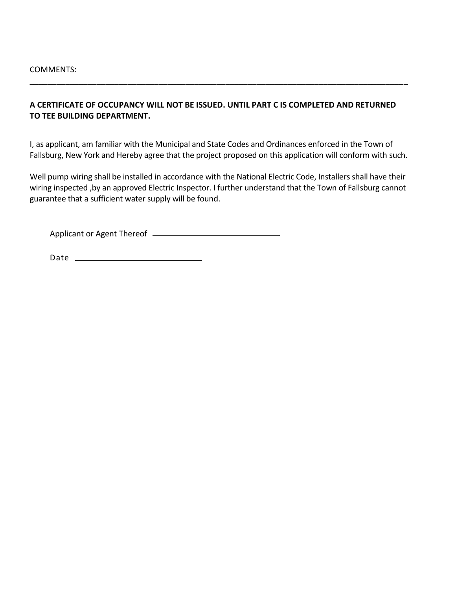#### **A CERTIFICATE OF OCCUPANCY WILL NOT BE ISSUED. UNTIL PART C IS COMPLETED AND RETURNED TO TEE BUILDING DEPARTMENT.**

\_\_\_\_\_\_\_\_\_\_\_\_\_\_\_\_\_\_\_\_\_\_\_\_\_\_\_\_\_\_\_\_\_\_\_\_\_\_\_\_\_\_\_\_\_\_\_\_\_\_\_\_\_\_\_\_\_\_\_\_\_\_\_\_\_\_\_\_\_\_\_\_\_\_\_\_\_\_\_\_\_\_\_\_\_

I, as applicant, am familiar with the Municipal and State Codes and Ordinances enforced in the Town of Fallsburg, New York and Hereby agree that the project proposed on this application will conform with such.

Well pump wiring shall be installed in accordance with the National Electric Code, Installers shall have their wiring inspected ,by an approved Electric Inspector. I further understand that the Town of Fallsburg cannot guarantee that a sufficient water supply will be found.

Applicant or Agent Thereof

Date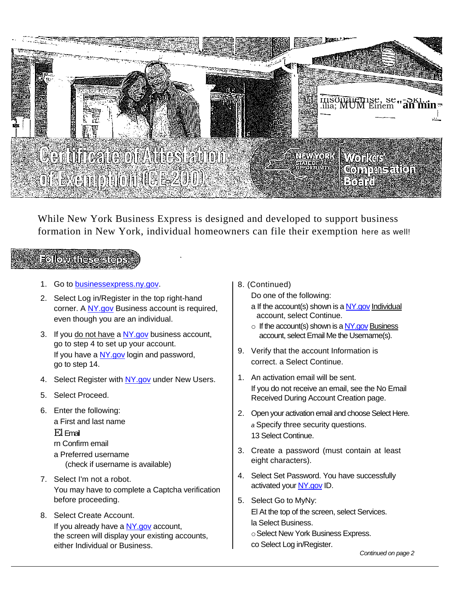

While New York Business Express is designed and developed to support business formation in New York, individual homeowners can file their exemption here as well!

### **Follow theses**

- 1. Go to [businessexpress.ny.gov.](http://businessexpress.ny.gov/)
- 2. Select Log in/Register in the top right-hand corner. A [NY.gov](http://ny.gov/) Business account is required, even though you are an individual.
- 3. If you do not have a [NY.gov](http://ny.gov/) business account, go to step 4 to set up your account. If you have a [NY.gov](http://ny.gov/) login and password, go to step 14.
- 4. Select Register with [NY.gov](http://ny.gov/) under New Users.
- 5. Select Proceed.
- 6. Enter the following: a First and last name El Email rn Confirm email a Preferred username (check if username is available)
- 7. Select I'm not a robot. You may have to complete a Captcha verification before proceeding.
- 8. Select Create Account. If you already have a [NY.gov](http://ny.gov/) account, the screen will display your existing accounts, either Individual or Business.

8. (Continued)

Do one of the following:

- a If the account(s) shown is a  $NY.gov$  Individual account, select Continue.
- $\circ$  If the account(s) shown is a  $NY.gov$  Business account, select Email Me the Usemame(s).
- 9. Verify that the account Information is correct. a Select Continue.
- 1. An activation email will be sent. If you do not receive an email, see the No Email Received During Account Creation page.
- 2. Open your activation email and choose Select Here. *a* Specify three security questions. 13 Select Continue.
- 3. Create a password (must contain at least eight characters).
- 4. Select Set Password. You have successfully activated you[r NY.gov](http://ny.gov/) ID.
- 5. Select Go to MyNy: El At the top of the screen, select Services.
	- la Select Business.
	- oSelect New York Business Express.
	- co Select Log in/Register.